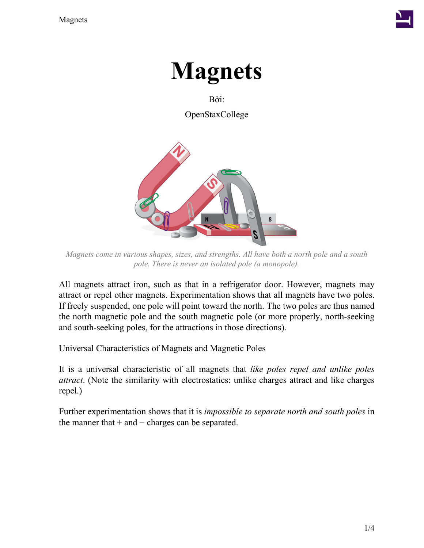

# **Magnets**

Bởi: OpenStaxCollege



*Magnets come in various shapes, sizes, and strengths. All have both a north pole and a south pole. There is never an isolated pole (a monopole).*

All magnets attract iron, such as that in a refrigerator door. However, magnets may attract or repel other magnets. Experimentation shows that all magnets have two poles. If freely suspended, one pole will point toward the north. The two poles are thus named the north magnetic pole and the south magnetic pole (or more properly, north-seeking and south-seeking poles, for the attractions in those directions).

Universal Characteristics of Magnets and Magnetic Poles

It is a universal characteristic of all magnets that *like poles repel and unlike poles attract*. (Note the similarity with electrostatics: unlike charges attract and like charges repel.)

Further experimentation shows that it is *impossible to separate north and south poles* in the manner that  $+$  and  $-$  charges can be separated.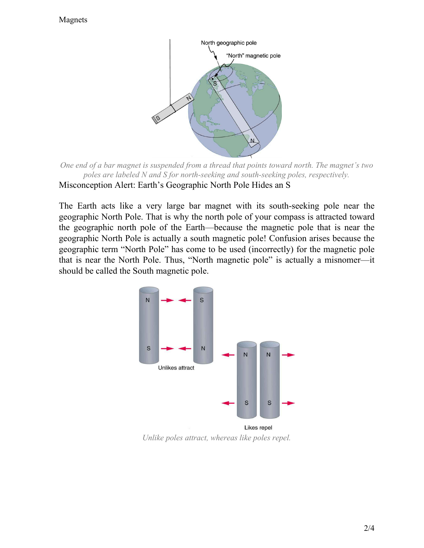#### Magnets



*One end of a bar magnet is suspended from a thread that points toward north. The magnet's two poles are labeled N and S for north-seeking and south-seeking poles, respectively.* Misconception Alert: Earth's Geographic North Pole Hides an S

The Earth acts like a very large bar magnet with its south-seeking pole near the geographic North Pole. That is why the north pole of your compass is attracted toward the geographic north pole of the Earth—because the magnetic pole that is near the geographic North Pole is actually a south magnetic pole! Confusion arises because the geographic term "North Pole" has come to be used (incorrectly) for the magnetic pole that is near the North Pole. Thus, "North magnetic pole" is actually a misnomer—it should be called the South magnetic pole.



*Unlike poles attract, whereas like poles repel.*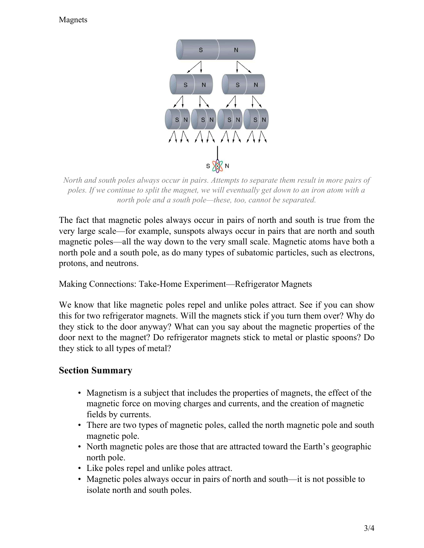### Magnets



*North and south poles always occur in pairs. Attempts to separate them result in more pairs of poles. If we continue to split the magnet, we will eventually get down to an iron atom with a north pole and a south pole—these, too, cannot be separated.*

The fact that magnetic poles always occur in pairs of north and south is true from the very large scale—for example, sunspots always occur in pairs that are north and south magnetic poles—all the way down to the very small scale. Magnetic atoms have both a north pole and a south pole, as do many types of subatomic particles, such as electrons, protons, and neutrons.

Making Connections: Take-Home Experiment—Refrigerator Magnets

We know that like magnetic poles repel and unlike poles attract. See if you can show this for two refrigerator magnets. Will the magnets stick if you turn them over? Why do they stick to the door anyway? What can you say about the magnetic properties of the door next to the magnet? Do refrigerator magnets stick to metal or plastic spoons? Do they stick to all types of metal?

## **Section Summary**

- Magnetism is a subject that includes the properties of magnets, the effect of the magnetic force on moving charges and currents, and the creation of magnetic fields by currents.
- There are two types of magnetic poles, called the north magnetic pole and south magnetic pole.
- North magnetic poles are those that are attracted toward the Earth's geographic north pole.
- Like poles repel and unlike poles attract.
- Magnetic poles always occur in pairs of north and south—it is not possible to isolate north and south poles.